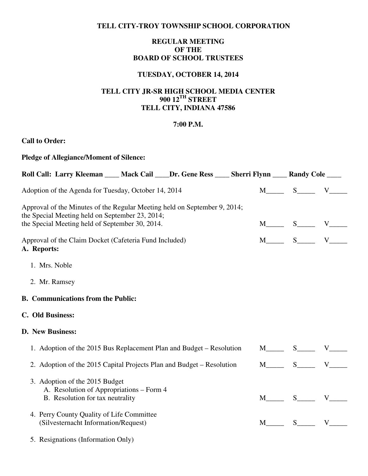### **TELL CITY-TROY TOWNSHIP SCHOOL CORPORATION**

# **REGULAR MEETING OF THE BOARD OF SCHOOL TRUSTEES**

## **TUESDAY, OCTOBER 14, 2014**

## **TELL CITY JR-SR HIGH SCHOOL MEDIA CENTER 900 12TH STREET TELL CITY, INDIANA 47586**

#### **7:00 P.M.**

## **Call to Order:**

| <b>Pledge of Allegiance/Moment of Silence:</b>                                                                               |                                                        |  |  |                                    |                                      |  |  |
|------------------------------------------------------------------------------------------------------------------------------|--------------------------------------------------------|--|--|------------------------------------|--------------------------------------|--|--|
| Roll Call: Larry Kleeman ____ Mack Cail ____Dr. Gene Ress ____ Sherri Flynn ____ Randy Cole ____                             |                                                        |  |  |                                    |                                      |  |  |
| Adoption of the Agenda for Tuesday, October 14, 2014                                                                         |                                                        |  |  | $M$ <sub>_____</sub> S_____ V_____ |                                      |  |  |
| Approval of the Minutes of the Regular Meeting held on September 9, 2014;<br>the Special Meeting held on September 23, 2014; |                                                        |  |  |                                    |                                      |  |  |
| the Special Meeting held of September 30, 2014.                                                                              |                                                        |  |  |                                    | $M$ <sub>____</sub> S_____ V_____    |  |  |
| A. Reports:                                                                                                                  | Approval of the Claim Docket (Cafeteria Fund Included) |  |  |                                    | $M$ <sub>_____</sub> S______ V______ |  |  |
| 1. Mrs. Noble                                                                                                                |                                                        |  |  |                                    |                                      |  |  |
| 2. Mr. Ramsey                                                                                                                |                                                        |  |  |                                    |                                      |  |  |
| <b>B.</b> Communications from the Public:                                                                                    |                                                        |  |  |                                    |                                      |  |  |
| C. Old Business:                                                                                                             |                                                        |  |  |                                    |                                      |  |  |
| D. New Business:                                                                                                             |                                                        |  |  |                                    |                                      |  |  |
| 1. Adoption of the 2015 Bus Replacement Plan and Budget – Resolution                                                         |                                                        |  |  |                                    | $M$ <sub>_____</sub> S_____ V_____   |  |  |
| 2. Adoption of the 2015 Capital Projects Plan and Budget – Resolution                                                        |                                                        |  |  |                                    | $M$ <sub>_____</sub> S_____ V_____   |  |  |
| 3. Adoption of the 2015 Budget<br>A. Resolution of Appropriations – Form 4                                                   |                                                        |  |  |                                    |                                      |  |  |
| B. Resolution for tax neutrality                                                                                             |                                                        |  |  |                                    | $M$ <sub>____</sub> S____ V____      |  |  |
| 4. Perry County Quality of Life Committee<br>(Silvesternacht Information/Request)                                            |                                                        |  |  |                                    | $M \qquad S \qquad V$                |  |  |
| 5. Resignations (Information Only)                                                                                           |                                                        |  |  |                                    |                                      |  |  |